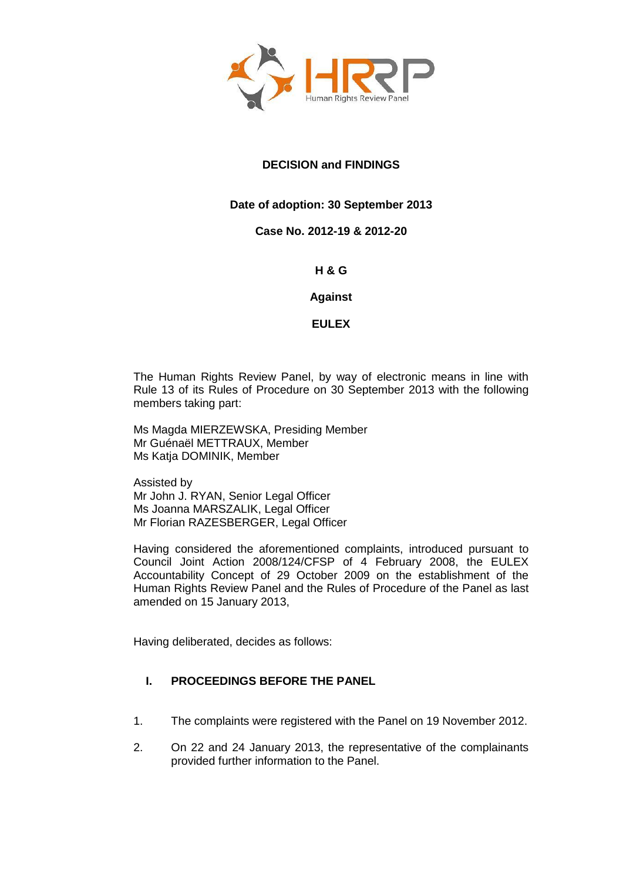

# **DECISION and FINDINGS**

# **Date of adoption: 30 September 2013**

## **Case No. 2012-19 & 2012-20**

## **H & G**

## **Against**

## **EULEX**

The Human Rights Review Panel, by way of electronic means in line with Rule 13 of its Rules of Procedure on 30 September 2013 with the following members taking part:

Ms Magda MIERZEWSKA, Presiding Member Mr Guénaël METTRAUX, Member Ms Katja DOMINIK, Member

Assisted by Mr John J. RYAN, Senior Legal Officer Ms Joanna MARSZALIK, Legal Officer Mr Florian RAZESBERGER, Legal Officer

Having considered the aforementioned complaints, introduced pursuant to Council Joint Action 2008/124/CFSP of 4 February 2008, the EULEX Accountability Concept of 29 October 2009 on the establishment of the Human Rights Review Panel and the Rules of Procedure of the Panel as last amended on 15 January 2013,

Having deliberated, decides as follows:

# **I. PROCEEDINGS BEFORE THE PANEL**

- 1. The complaints were registered with the Panel on 19 November 2012.
- 2. On 22 and 24 January 2013, the representative of the complainants provided further information to the Panel.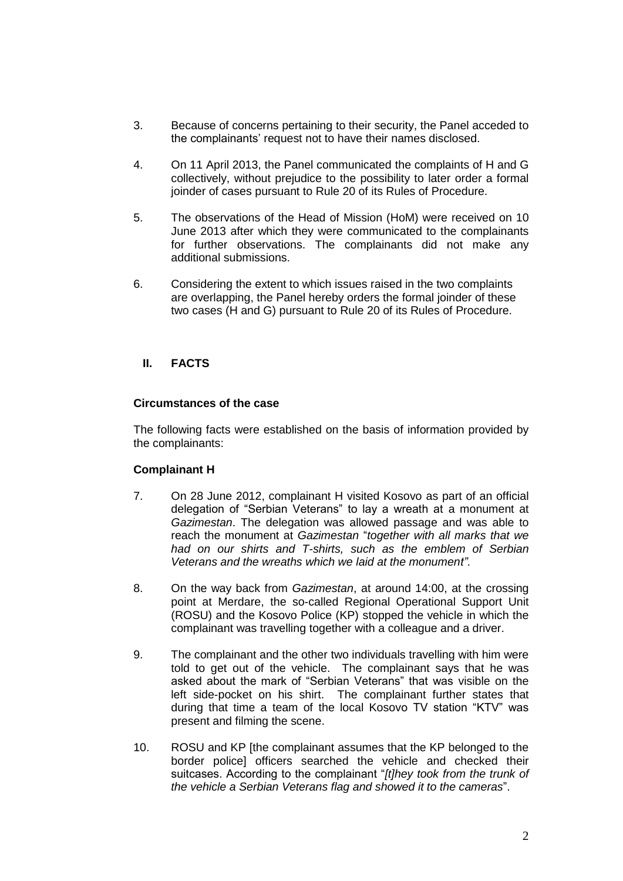- 3. Because of concerns pertaining to their security, the Panel acceded to the complainants' request not to have their names disclosed.
- 4. On 11 April 2013, the Panel communicated the complaints of H and G collectively, without prejudice to the possibility to later order a formal joinder of cases pursuant to Rule 20 of its Rules of Procedure.
- 5. The observations of the Head of Mission (HoM) were received on 10 June 2013 after which they were communicated to the complainants for further observations. The complainants did not make any additional submissions.
- 6. Considering the extent to which issues raised in the two complaints are overlapping, the Panel hereby orders the formal joinder of these two cases (H and G) pursuant to Rule 20 of its Rules of Procedure.

## **II. FACTS**

#### **Circumstances of the case**

The following facts were established on the basis of information provided by the complainants:

#### **Complainant H**

- 7. On 28 June 2012, complainant H visited Kosovo as part of an official delegation of "Serbian Veterans" to lay a wreath at a monument at *Gazimestan*. The delegation was allowed passage and was able to reach the monument at *Gazimestan* "*together with all marks that we had on our shirts and T-shirts, such as the emblem of Serbian Veterans and the wreaths which we laid at the monument"*.
- 8. On the way back from *Gazimestan*, at around 14:00, at the crossing point at Merdare, the so-called Regional Operational Support Unit (ROSU) and the Kosovo Police (KP) stopped the vehicle in which the complainant was travelling together with a colleague and a driver.
- 9. The complainant and the other two individuals travelling with him were told to get out of the vehicle. The complainant says that he was asked about the mark of "Serbian Veterans" that was visible on the left side-pocket on his shirt. The complainant further states that during that time a team of the local Kosovo TV station "KTV" was present and filming the scene.
- 10. ROSU and KP [the complainant assumes that the KP belonged to the border police] officers searched the vehicle and checked their suitcases. According to the complainant "*[t]hey took from the trunk of the vehicle a Serbian Veterans flag and showed it to the cameras*".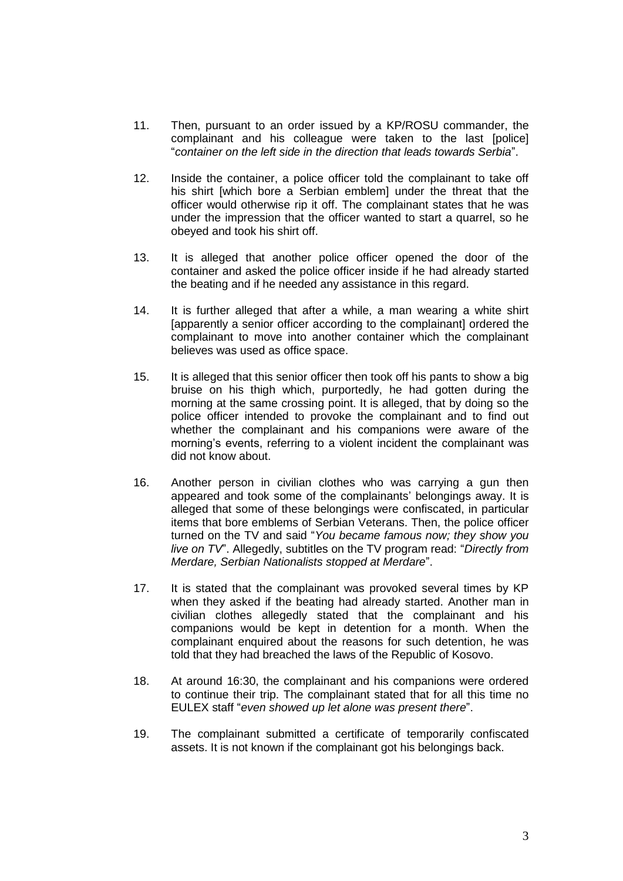- 11. Then, pursuant to an order issued by a KP/ROSU commander, the complainant and his colleague were taken to the last [police] "*container on the left side in the direction that leads towards Serbia*".
- 12. Inside the container, a police officer told the complainant to take off his shirt [which bore a Serbian emblem] under the threat that the officer would otherwise rip it off. The complainant states that he was under the impression that the officer wanted to start a quarrel, so he obeyed and took his shirt off.
- 13. It is alleged that another police officer opened the door of the container and asked the police officer inside if he had already started the beating and if he needed any assistance in this regard.
- 14. It is further alleged that after a while, a man wearing a white shirt [apparently a senior officer according to the complainant] ordered the complainant to move into another container which the complainant believes was used as office space.
- 15. It is alleged that this senior officer then took off his pants to show a big bruise on his thigh which, purportedly, he had gotten during the morning at the same crossing point. It is alleged, that by doing so the police officer intended to provoke the complainant and to find out whether the complainant and his companions were aware of the morning's events, referring to a violent incident the complainant was did not know about.
- 16. Another person in civilian clothes who was carrying a gun then appeared and took some of the complainants' belongings away. It is alleged that some of these belongings were confiscated, in particular items that bore emblems of Serbian Veterans. Then, the police officer turned on the TV and said "*You became famous now; they show you live on TV*". Allegedly, subtitles on the TV program read: "*Directly from Merdare, Serbian Nationalists stopped at Merdare*".
- 17. It is stated that the complainant was provoked several times by KP when they asked if the beating had already started. Another man in civilian clothes allegedly stated that the complainant and his companions would be kept in detention for a month. When the complainant enquired about the reasons for such detention, he was told that they had breached the laws of the Republic of Kosovo.
- 18. At around 16:30, the complainant and his companions were ordered to continue their trip. The complainant stated that for all this time no EULEX staff "*even showed up let alone was present there*".
- 19. The complainant submitted a certificate of temporarily confiscated assets. It is not known if the complainant got his belongings back.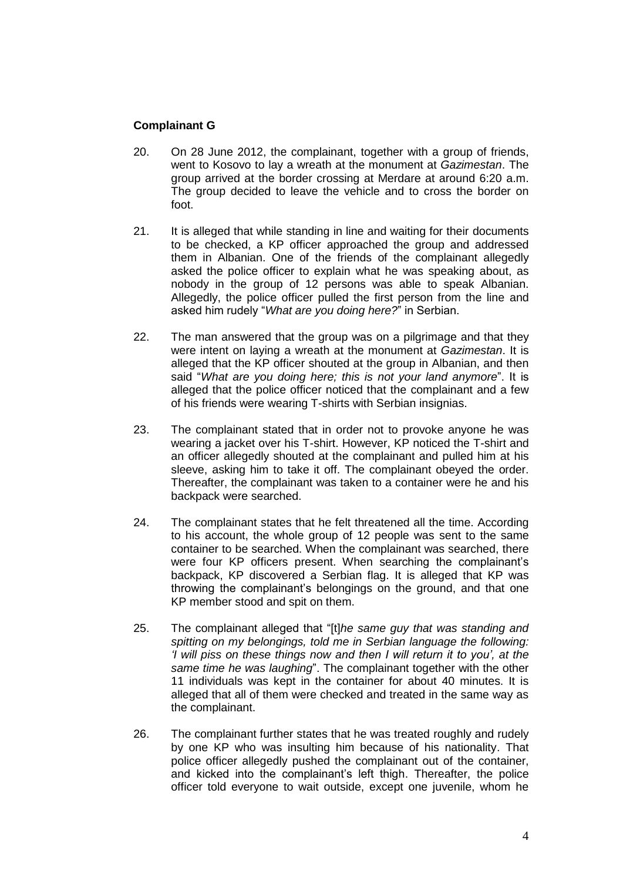## **Complainant G**

- 20. On 28 June 2012, the complainant, together with a group of friends, went to Kosovo to lay a wreath at the monument at *Gazimestan*. The group arrived at the border crossing at Merdare at around 6:20 a.m. The group decided to leave the vehicle and to cross the border on foot.
- 21. It is alleged that while standing in line and waiting for their documents to be checked, a KP officer approached the group and addressed them in Albanian. One of the friends of the complainant allegedly asked the police officer to explain what he was speaking about, as nobody in the group of 12 persons was able to speak Albanian. Allegedly, the police officer pulled the first person from the line and asked him rudely "*What are you doing here?*" in Serbian.
- 22. The man answered that the group was on a pilgrimage and that they were intent on laying a wreath at the monument at *Gazimestan*. It is alleged that the KP officer shouted at the group in Albanian, and then said "*What are you doing here; this is not your land anymore*". It is alleged that the police officer noticed that the complainant and a few of his friends were wearing T-shirts with Serbian insignias.
- 23. The complainant stated that in order not to provoke anyone he was wearing a jacket over his T-shirt. However, KP noticed the T-shirt and an officer allegedly shouted at the complainant and pulled him at his sleeve, asking him to take it off. The complainant obeyed the order. Thereafter, the complainant was taken to a container were he and his backpack were searched.
- 24. The complainant states that he felt threatened all the time. According to his account, the whole group of 12 people was sent to the same container to be searched. When the complainant was searched, there were four KP officers present. When searching the complainant's backpack, KP discovered a Serbian flag. It is alleged that KP was throwing the complainant's belongings on the ground, and that one KP member stood and spit on them.
- 25. The complainant alleged that "[t]*he same guy that was standing and spitting on my belongings, told me in Serbian language the following: 'I will piss on these things now and then I will return it to you', at the same time he was laughing*". The complainant together with the other 11 individuals was kept in the container for about 40 minutes. It is alleged that all of them were checked and treated in the same way as the complainant.
- 26. The complainant further states that he was treated roughly and rudely by one KP who was insulting him because of his nationality. That police officer allegedly pushed the complainant out of the container, and kicked into the complainant's left thigh. Thereafter, the police officer told everyone to wait outside, except one juvenile, whom he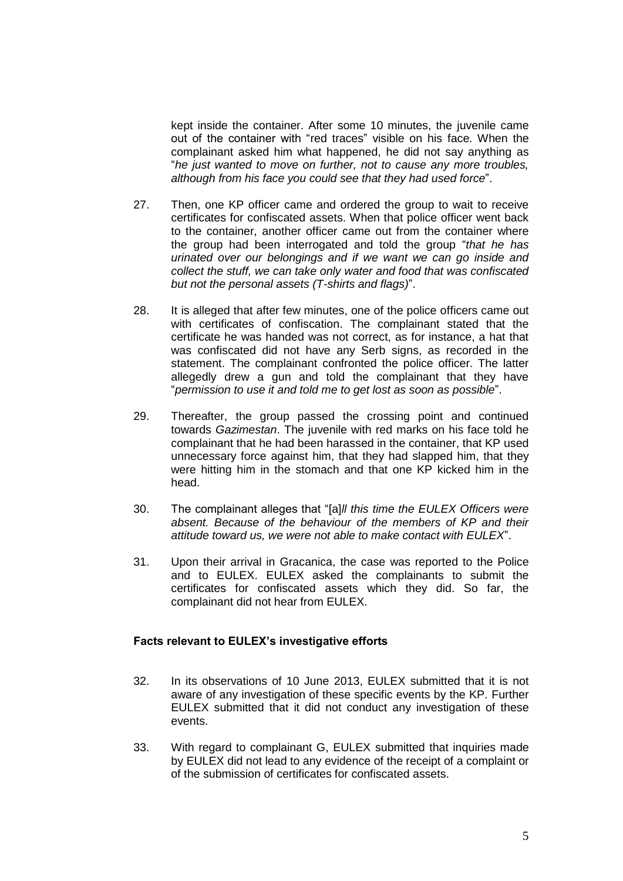kept inside the container. After some 10 minutes, the juvenile came out of the container with "red traces" visible on his face. When the complainant asked him what happened, he did not say anything as "*he just wanted to move on further, not to cause any more troubles, although from his face you could see that they had used force*".

- 27. Then, one KP officer came and ordered the group to wait to receive certificates for confiscated assets. When that police officer went back to the container, another officer came out from the container where the group had been interrogated and told the group "*that he has urinated over our belongings and if we want we can go inside and collect the stuff, we can take only water and food that was confiscated but not the personal assets (T-shirts and flags)*".
- 28. It is alleged that after few minutes, one of the police officers came out with certificates of confiscation. The complainant stated that the certificate he was handed was not correct, as for instance, a hat that was confiscated did not have any Serb signs, as recorded in the statement. The complainant confronted the police officer. The latter allegedly drew a gun and told the complainant that they have "*permission to use it and told me to get lost as soon as possible*".
- 29. Thereafter, the group passed the crossing point and continued towards *Gazimestan*. The juvenile with red marks on his face told he complainant that he had been harassed in the container, that KP used unnecessary force against him, that they had slapped him, that they were hitting him in the stomach and that one KP kicked him in the head.
- 30. The complainant alleges that "[a]*ll this time the EULEX Officers were absent. Because of the behaviour of the members of KP and their attitude toward us, we were not able to make contact with EULEX*".
- 31. Upon their arrival in Gracanica, the case was reported to the Police and to EULEX. EULEX asked the complainants to submit the certificates for confiscated assets which they did. So far, the complainant did not hear from EULEX.

#### **Facts relevant to EULEX's investigative efforts**

- 32. In its observations of 10 June 2013, EULEX submitted that it is not aware of any investigation of these specific events by the KP. Further EULEX submitted that it did not conduct any investigation of these events.
- 33. With regard to complainant G, EULEX submitted that inquiries made by EULEX did not lead to any evidence of the receipt of a complaint or of the submission of certificates for confiscated assets.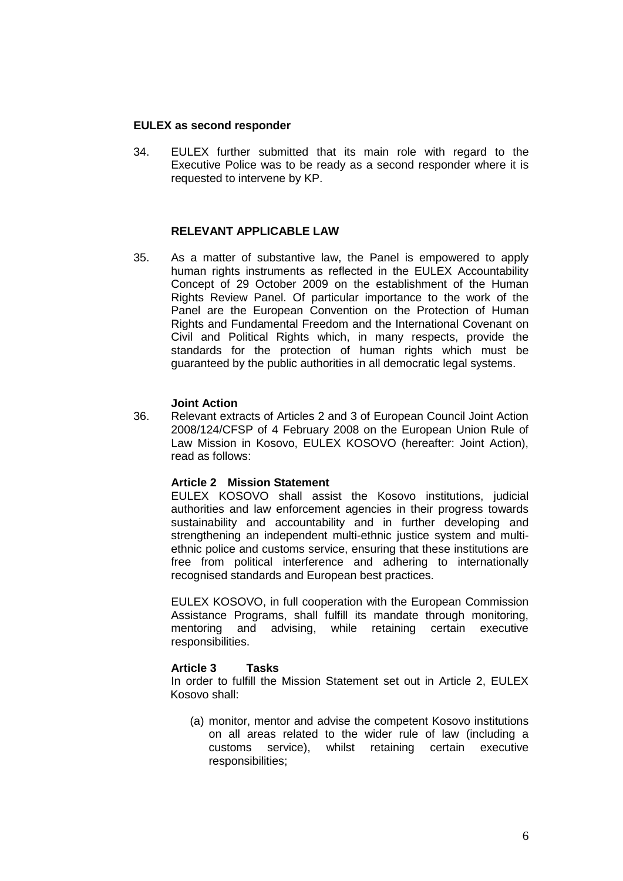## **EULEX as second responder**

34. EULEX further submitted that its main role with regard to the Executive Police was to be ready as a second responder where it is requested to intervene by KP.

#### **RELEVANT APPLICABLE LAW**

35. As a matter of substantive law, the Panel is empowered to apply human rights instruments as reflected in the EULEX Accountability Concept of 29 October 2009 on the establishment of the Human Rights Review Panel. Of particular importance to the work of the Panel are the European Convention on the Protection of Human Rights and Fundamental Freedom and the International Covenant on Civil and Political Rights which, in many respects, provide the standards for the protection of human rights which must be guaranteed by the public authorities in all democratic legal systems.

#### **Joint Action**

36. Relevant extracts of Articles 2 and 3 of European Council Joint Action 2008/124/CFSP of 4 February 2008 on the European Union Rule of Law Mission in Kosovo, EULEX KOSOVO (hereafter: Joint Action), read as follows:

#### **Article 2 Mission Statement**

EULEX KOSOVO shall assist the Kosovo institutions, judicial authorities and law enforcement agencies in their progress towards sustainability and accountability and in further developing and strengthening an independent multi-ethnic justice system and multiethnic police and customs service, ensuring that these institutions are free from political interference and adhering to internationally recognised standards and European best practices.

EULEX KOSOVO, in full cooperation with the European Commission Assistance Programs, shall fulfill its mandate through monitoring, mentoring and advising, while retaining certain executive responsibilities.

#### **Article 3 Tasks**

In order to fulfill the Mission Statement set out in Article 2, EULEX Kosovo shall:

(a) monitor, mentor and advise the competent Kosovo institutions on all areas related to the wider rule of law (including a customs service), whilst retaining certain executive responsibilities;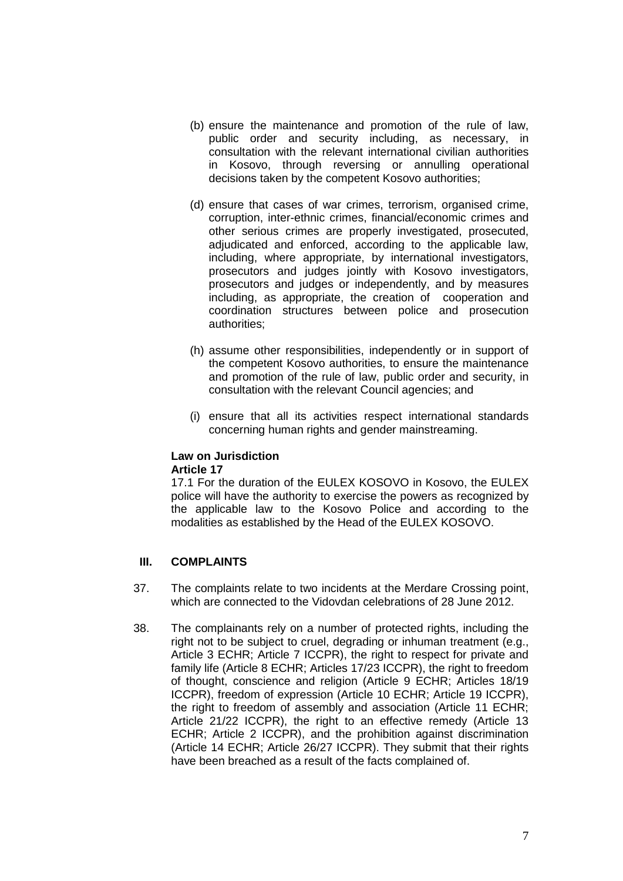- (b) ensure the maintenance and promotion of the rule of law, public order and security including, as necessary, in consultation with the relevant international civilian authorities in Kosovo, through reversing or annulling operational decisions taken by the competent Kosovo authorities;
- (d) ensure that cases of war crimes, terrorism, organised crime, corruption, inter-ethnic crimes, financial/economic crimes and other serious crimes are properly investigated, prosecuted, adjudicated and enforced, according to the applicable law, including, where appropriate, by international investigators, prosecutors and judges jointly with Kosovo investigators, prosecutors and judges or independently, and by measures including, as appropriate, the creation of cooperation and coordination structures between police and prosecution authorities;
- (h) assume other responsibilities, independently or in support of the competent Kosovo authorities, to ensure the maintenance and promotion of the rule of law, public order and security, in consultation with the relevant Council agencies; and
- (i) ensure that all its activities respect international standards concerning human rights and gender mainstreaming.

#### **Law on Jurisdiction Article 17**

17.1 For the duration of the EULEX KOSOVO in Kosovo, the EULEX police will have the authority to exercise the powers as recognized by the applicable law to the Kosovo Police and according to the modalities as established by the Head of the EULEX KOSOVO.

## **III. COMPLAINTS**

- 37. The complaints relate to two incidents at the Merdare Crossing point, which are connected to the Vidovdan celebrations of 28 June 2012.
- 38. The complainants rely on a number of protected rights, including the right not to be subject to cruel, degrading or inhuman treatment (e.g., Article 3 ECHR; Article 7 ICCPR), the right to respect for private and family life (Article 8 ECHR; Articles 17/23 ICCPR), the right to freedom of thought, conscience and religion (Article 9 ECHR; Articles 18/19 ICCPR), freedom of expression (Article 10 ECHR; Article 19 ICCPR), the right to freedom of assembly and association (Article 11 ECHR; Article 21/22 ICCPR), the right to an effective remedy (Article 13 ECHR; Article 2 ICCPR), and the prohibition against discrimination (Article 14 ECHR; Article 26/27 ICCPR). They submit that their rights have been breached as a result of the facts complained of.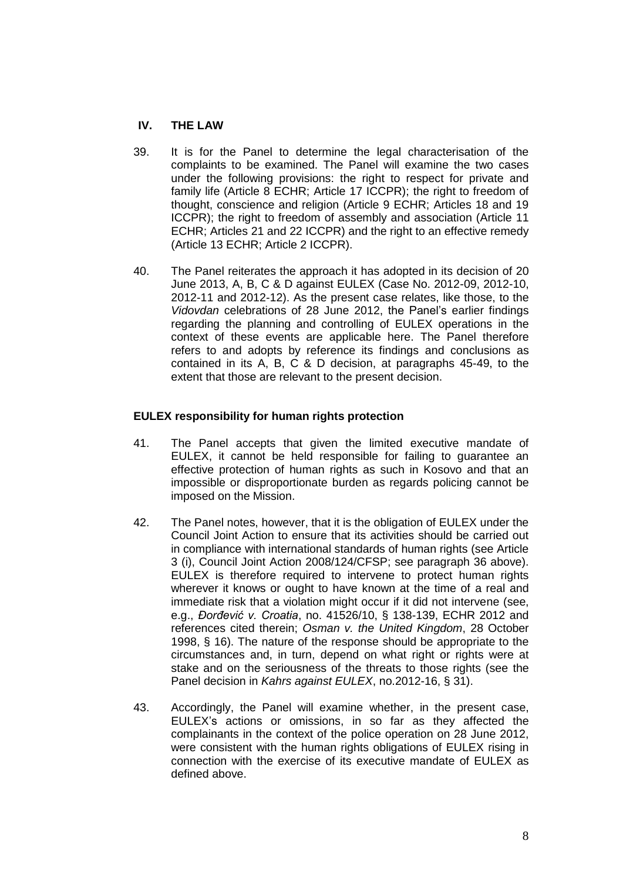# **IV. THE LAW**

- 39. It is for the Panel to determine the legal characterisation of the complaints to be examined. The Panel will examine the two cases under the following provisions: the right to respect for private and family life (Article 8 ECHR; Article 17 ICCPR); the right to freedom of thought, conscience and religion (Article 9 ECHR; Articles 18 and 19 ICCPR); the right to freedom of assembly and association (Article 11 ECHR; Articles 21 and 22 ICCPR) and the right to an effective remedy (Article 13 ECHR; Article 2 ICCPR).
- 40. The Panel reiterates the approach it has adopted in its decision of 20 June 2013, A, B, C & D against EULEX (Case No. 2012-09, 2012-10, 2012-11 and 2012-12). As the present case relates, like those, to the *Vidovdan* celebrations of 28 June 2012, the Panel's earlier findings regarding the planning and controlling of EULEX operations in the context of these events are applicable here. The Panel therefore refers to and adopts by reference its findings and conclusions as contained in its A, B, C & D decision, at paragraphs 45-49, to the extent that those are relevant to the present decision.

## **EULEX responsibility for human rights protection**

- 41. The Panel accepts that given the limited executive mandate of EULEX, it cannot be held responsible for failing to guarantee an effective protection of human rights as such in Kosovo and that an impossible or disproportionate burden as regards policing cannot be imposed on the Mission.
- 42. The Panel notes, however, that it is the obligation of EULEX under the Council Joint Action to ensure that its activities should be carried out in compliance with international standards of human rights (see Article 3 (i), Council Joint Action 2008/124/CFSP; see paragraph 36 above). EULEX is therefore required to intervene to protect human rights wherever it knows or ought to have known at the time of a real and immediate risk that a violation might occur if it did not intervene (see, e.g., *Đorđević v. Croatia*, no. 41526/10, § 138-139, ECHR 2012 and references cited therein; *Osman v. the United Kingdom*, 28 October 1998, § 16). The nature of the response should be appropriate to the circumstances and, in turn, depend on what right or rights were at stake and on the seriousness of the threats to those rights (see the Panel decision in *Kahrs against EULEX*, no.2012-16, § 31).
- 43. Accordingly, the Panel will examine whether, in the present case, EULEX's actions or omissions, in so far as they affected the complainants in the context of the police operation on 28 June 2012, were consistent with the human rights obligations of EULEX rising in connection with the exercise of its executive mandate of EULEX as defined above.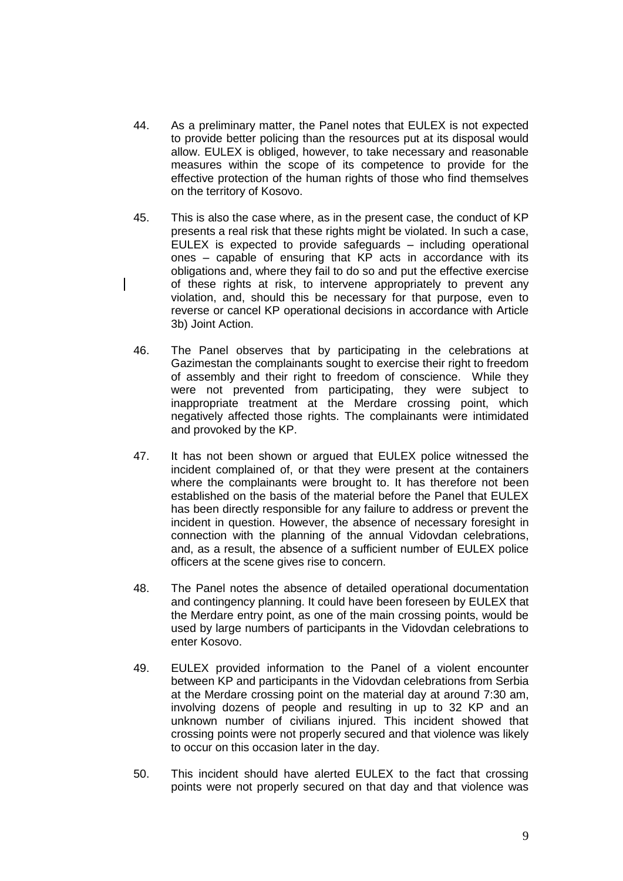- 44. As a preliminary matter, the Panel notes that EULEX is not expected to provide better policing than the resources put at its disposal would allow. EULEX is obliged, however, to take necessary and reasonable measures within the scope of its competence to provide for the effective protection of the human rights of those who find themselves on the territory of Kosovo.
- 45. This is also the case where, as in the present case, the conduct of KP presents a real risk that these rights might be violated. In such a case, EULEX is expected to provide safeguards – including operational ones – capable of ensuring that KP acts in accordance with its obligations and, where they fail to do so and put the effective exercise of these rights at risk, to intervene appropriately to prevent any violation, and, should this be necessary for that purpose, even to reverse or cancel KP operational decisions in accordance with Article 3b) Joint Action.
- 46. The Panel observes that by participating in the celebrations at Gazimestan the complainants sought to exercise their right to freedom of assembly and their right to freedom of conscience. While they were not prevented from participating, they were subject to inappropriate treatment at the Merdare crossing point, which negatively affected those rights. The complainants were intimidated and provoked by the KP.
- 47. It has not been shown or argued that EULEX police witnessed the incident complained of, or that they were present at the containers where the complainants were brought to. It has therefore not been established on the basis of the material before the Panel that EULEX has been directly responsible for any failure to address or prevent the incident in question. However, the absence of necessary foresight in connection with the planning of the annual Vidovdan celebrations, and, as a result, the absence of a sufficient number of EULEX police officers at the scene gives rise to concern.
- 48. The Panel notes the absence of detailed operational documentation and contingency planning. It could have been foreseen by EULEX that the Merdare entry point, as one of the main crossing points, would be used by large numbers of participants in the Vidovdan celebrations to enter Kosovo.
- 49. EULEX provided information to the Panel of a violent encounter between KP and participants in the Vidovdan celebrations from Serbia at the Merdare crossing point on the material day at around 7:30 am, involving dozens of people and resulting in up to 32 KP and an unknown number of civilians injured. This incident showed that crossing points were not properly secured and that violence was likely to occur on this occasion later in the day.
- 50. This incident should have alerted EULEX to the fact that crossing points were not properly secured on that day and that violence was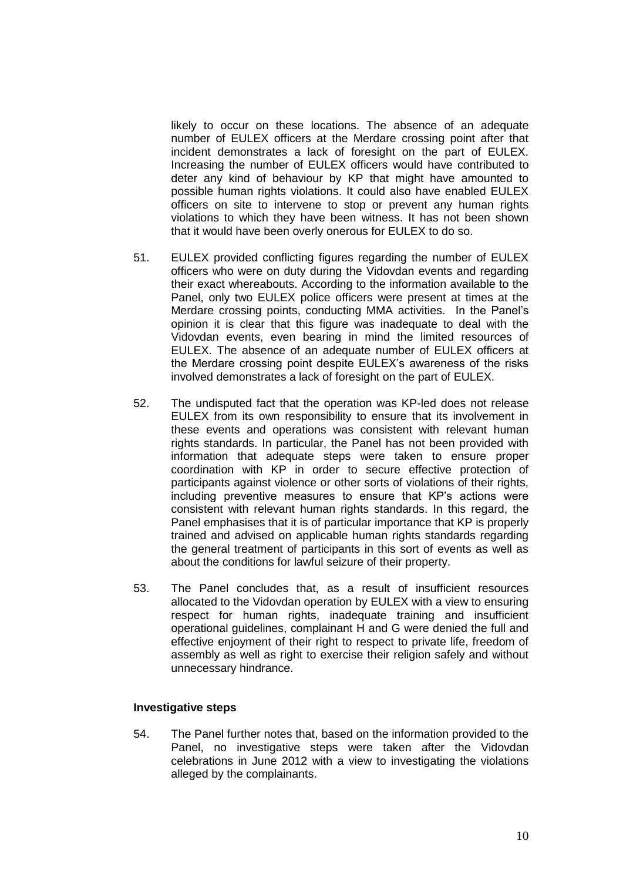likely to occur on these locations. The absence of an adequate number of EULEX officers at the Merdare crossing point after that incident demonstrates a lack of foresight on the part of EULEX. Increasing the number of EULEX officers would have contributed to deter any kind of behaviour by KP that might have amounted to possible human rights violations. It could also have enabled EULEX officers on site to intervene to stop or prevent any human rights violations to which they have been witness. It has not been shown that it would have been overly onerous for EULEX to do so.

- 51. EULEX provided conflicting figures regarding the number of EULEX officers who were on duty during the Vidovdan events and regarding their exact whereabouts. According to the information available to the Panel, only two EULEX police officers were present at times at the Merdare crossing points, conducting MMA activities. In the Panel's opinion it is clear that this figure was inadequate to deal with the Vidovdan events, even bearing in mind the limited resources of EULEX. The absence of an adequate number of EULEX officers at the Merdare crossing point despite EULEX's awareness of the risks involved demonstrates a lack of foresight on the part of EULEX.
- 52. The undisputed fact that the operation was KP-led does not release EULEX from its own responsibility to ensure that its involvement in these events and operations was consistent with relevant human rights standards. In particular, the Panel has not been provided with information that adequate steps were taken to ensure proper coordination with KP in order to secure effective protection of participants against violence or other sorts of violations of their rights, including preventive measures to ensure that KP's actions were consistent with relevant human rights standards. In this regard, the Panel emphasises that it is of particular importance that KP is properly trained and advised on applicable human rights standards regarding the general treatment of participants in this sort of events as well as about the conditions for lawful seizure of their property.
- 53. The Panel concludes that, as a result of insufficient resources allocated to the Vidovdan operation by EULEX with a view to ensuring respect for human rights, inadequate training and insufficient operational guidelines, complainant H and G were denied the full and effective enjoyment of their right to respect to private life, freedom of assembly as well as right to exercise their religion safely and without unnecessary hindrance.

#### **Investigative steps**

54. The Panel further notes that, based on the information provided to the Panel, no investigative steps were taken after the Vidovdan celebrations in June 2012 with a view to investigating the violations alleged by the complainants.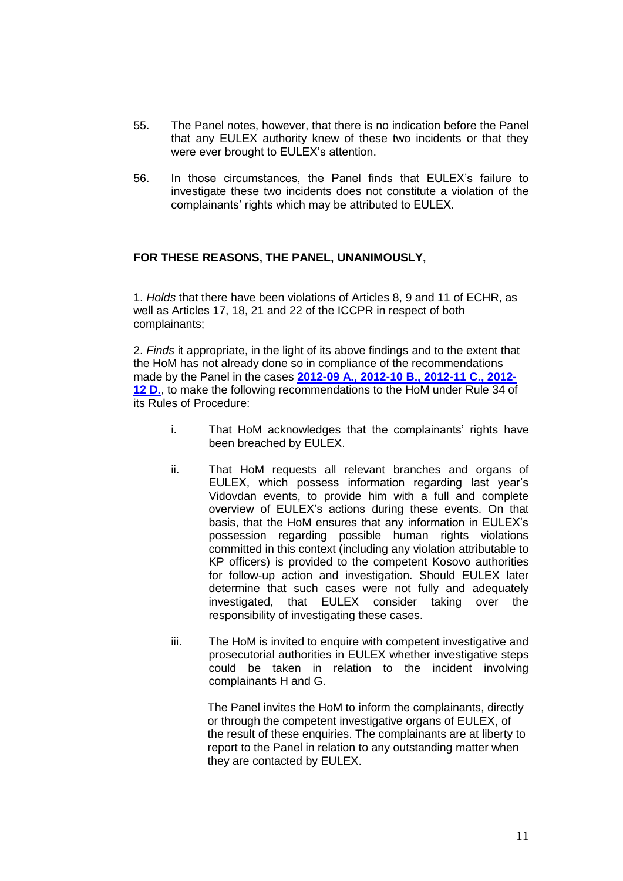- 55. The Panel notes, however, that there is no indication before the Panel that any EULEX authority knew of these two incidents or that they were ever brought to EULEX's attention.
- 56. In those circumstances, the Panel finds that EULEX's failure to investigate these two incidents does not constitute a violation of the complainants' rights which may be attributed to EULEX.

## **FOR THESE REASONS, THE PANEL, UNANIMOUSLY,**

1. *Holds* that there have been violations of Articles 8, 9 and 11 of ECHR, as well as Articles 17, 18, 21 and 22 of the ICCPR in respect of both complainants;

2. *Finds* it appropriate, in the light of its above findings and to the extent that the HoM has not already done so in compliance of the recommendations made by the Panel in the cases **[2012-09 A., 2012-10 B., 2012-11 C., 2012-](http://www.hrrp.eu/docs/decisions/Decision%20and%20Findings%202012-09;%202012-10;%202012-11;%202012-12%20pdf.pdf) [12 D.](http://www.hrrp.eu/docs/decisions/Decision%20and%20Findings%202012-09;%202012-10;%202012-11;%202012-12%20pdf.pdf)**, to make the following recommendations to the HoM under Rule 34 of its Rules of Procedure:

- i. That HoM acknowledges that the complainants' rights have been breached by EULEX.
- ii. That HoM requests all relevant branches and organs of EULEX, which possess information regarding last year's Vidovdan events, to provide him with a full and complete overview of EULEX's actions during these events. On that basis, that the HoM ensures that any information in EULEX's possession regarding possible human rights violations committed in this context (including any violation attributable to KP officers) is provided to the competent Kosovo authorities for follow-up action and investigation. Should EULEX later determine that such cases were not fully and adequately investigated, that EULEX consider taking over the responsibility of investigating these cases.
- iii. The HoM is invited to enquire with competent investigative and prosecutorial authorities in EULEX whether investigative steps could be taken in relation to the incident involving complainants H and G.

The Panel invites the HoM to inform the complainants, directly or through the competent investigative organs of EULEX, of the result of these enquiries. The complainants are at liberty to report to the Panel in relation to any outstanding matter when they are contacted by EULEX.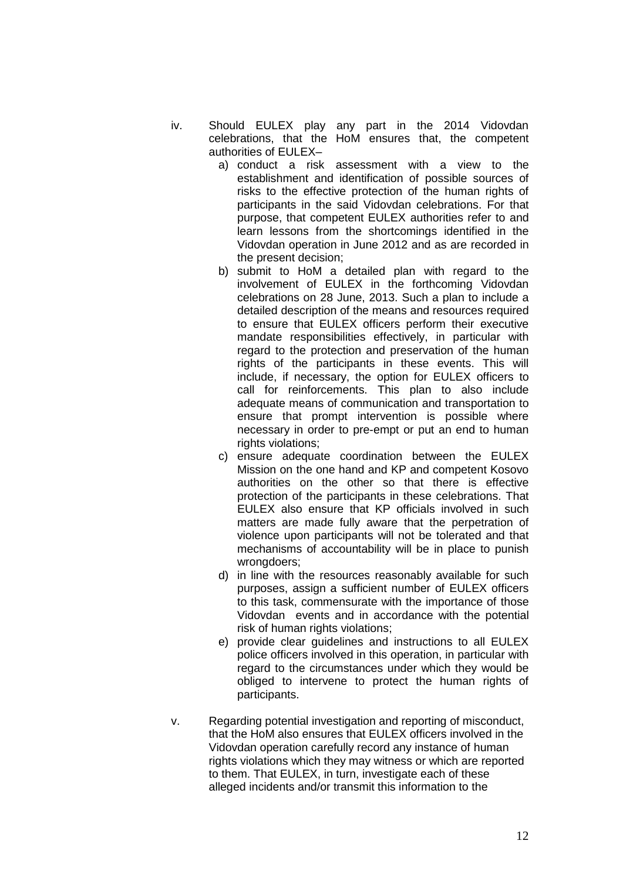- iv. Should EULEX play any part in the 2014 Vidovdan celebrations, that the HoM ensures that, the competent authorities of EULEX–
	- a) conduct a risk assessment with a view to the establishment and identification of possible sources of risks to the effective protection of the human rights of participants in the said Vidovdan celebrations. For that purpose, that competent EULEX authorities refer to and learn lessons from the shortcomings identified in the Vidovdan operation in June 2012 and as are recorded in the present decision;
	- b) submit to HoM a detailed plan with regard to the involvement of EULEX in the forthcoming Vidovdan celebrations on 28 June, 2013. Such a plan to include a detailed description of the means and resources required to ensure that EULEX officers perform their executive mandate responsibilities effectively, in particular with regard to the protection and preservation of the human rights of the participants in these events. This will include, if necessary, the option for EULEX officers to call for reinforcements. This plan to also include adequate means of communication and transportation to ensure that prompt intervention is possible where necessary in order to pre-empt or put an end to human rights violations:
	- c) ensure adequate coordination between the EULEX Mission on the one hand and KP and competent Kosovo authorities on the other so that there is effective protection of the participants in these celebrations. That EULEX also ensure that KP officials involved in such matters are made fully aware that the perpetration of violence upon participants will not be tolerated and that mechanisms of accountability will be in place to punish wrongdoers;
	- d) in line with the resources reasonably available for such purposes, assign a sufficient number of EULEX officers to this task, commensurate with the importance of those Vidovdan events and in accordance with the potential risk of human rights violations;
	- e) provide clear guidelines and instructions to all EULEX police officers involved in this operation, in particular with regard to the circumstances under which they would be obliged to intervene to protect the human rights of participants.
- v. Regarding potential investigation and reporting of misconduct, that the HoM also ensures that EULEX officers involved in the Vidovdan operation carefully record any instance of human rights violations which they may witness or which are reported to them. That EULEX, in turn, investigate each of these alleged incidents and/or transmit this information to the

12